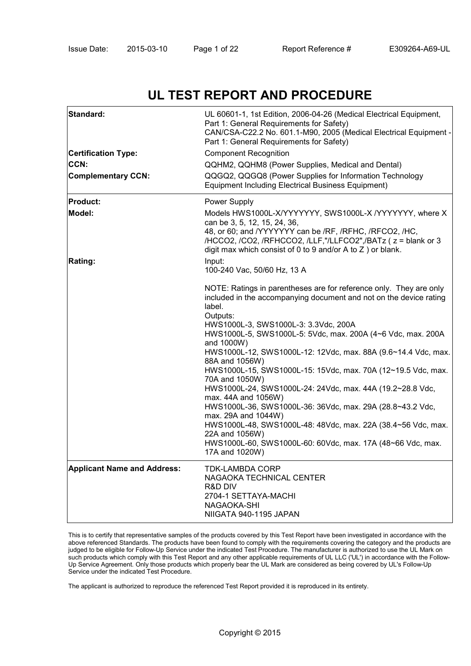# **UL TEST REPORT AND PROCEDURE**

| Standard:                          | UL 60601-1, 1st Edition, 2006-04-26 (Medical Electrical Equipment,<br>Part 1: General Requirements for Safety)<br>CAN/CSA-C22.2 No. 601.1-M90, 2005 (Medical Electrical Equipment -<br>Part 1: General Requirements for Safety)                                                                                                                      |
|------------------------------------|------------------------------------------------------------------------------------------------------------------------------------------------------------------------------------------------------------------------------------------------------------------------------------------------------------------------------------------------------|
| <b>Certification Type:</b>         | <b>Component Recognition</b>                                                                                                                                                                                                                                                                                                                         |
| CCN:                               | QQHM2, QQHM8 (Power Supplies, Medical and Dental)                                                                                                                                                                                                                                                                                                    |
| <b>Complementary CCN:</b>          | QQGQ2, QQGQ8 (Power Supplies for Information Technology<br><b>Equipment Including Electrical Business Equipment)</b>                                                                                                                                                                                                                                 |
| <b>Product:</b>                    | Power Supply                                                                                                                                                                                                                                                                                                                                         |
| Model:                             | Models HWS1000L-X/YYYYYYY, SWS1000L-X /YYYYYYY, where X<br>can be 3, 5, 12, 15, 24, 36,<br>48, or 60; and /YYYYYYY can be /RF, /RFHC, /RFCO2, /HC,<br>/HCCO2, /CO2, /RFHCCO2, /LLF,"/LLFCO2",/BATz (z = blank or 3<br>digit max which consist of 0 to 9 and/or A to $Z$ ) or blank.                                                                  |
| <b>Rating:</b>                     | Input:<br>100-240 Vac, 50/60 Hz, 13 A                                                                                                                                                                                                                                                                                                                |
|                                    | NOTE: Ratings in parentheses are for reference only. They are only<br>included in the accompanying document and not on the device rating<br>label.<br>Outputs:<br>HWS1000L-3, SWS1000L-3: 3.3Vdc, 200A<br>HWS1000L-5, SWS1000L-5: 5Vdc, max. 200A (4~6 Vdc, max. 200A<br>and 1000W)<br>HWS1000L-12, SWS1000L-12: 12Vdc, max. 88A (9.6~14.4 Vdc, max. |
|                                    | 88A and 1056W)<br>HWS1000L-15, SWS1000L-15: 15Vdc, max. 70A (12~19.5 Vdc, max.<br>70A and 1050W)<br>HWS1000L-24, SWS1000L-24: 24Vdc, max. 44A (19.2~28.8 Vdc,                                                                                                                                                                                        |
|                                    | max. 44A and 1056W)<br>HWS1000L-36, SWS1000L-36: 36Vdc, max. 29A (28.8~43.2 Vdc,<br>max. 29A and 1044W)<br>HWS1000L-48, SWS1000L-48: 48Vdc, max. 22A (38.4~56 Vdc, max.                                                                                                                                                                              |
|                                    | 22A and 1056W)<br>HWS1000L-60, SWS1000L-60: 60Vdc, max. 17A (48~66 Vdc, max.<br>17A and 1020W)                                                                                                                                                                                                                                                       |
| <b>Applicant Name and Address:</b> | TDK-LAMBDA CORP<br>NAGAOKA TECHNICAL CENTER<br>R&D DIV<br>2704-1 SETTAYA-MACHI<br>NAGAOKA-SHI<br>NIIGATA 940-1195 JAPAN                                                                                                                                                                                                                              |

This is to certify that representative samples of the products covered by this Test Report have been investigated in accordance with the above referenced Standards. The products have been found to comply with the requirements covering the category and the products are judged to be eligible for Follow-Up Service under the indicated Test Procedure. The manufacturer is authorized to use the UL Mark on such products which comply with this Test Report and any other applicable requirements of UL LLC ('UL') in accordance with the Follow-Up Service Agreement. Only those products which properly bear the UL Mark are considered as being covered by UL's Follow-Up Service under the indicated Test Procedure.

The applicant is authorized to reproduce the referenced Test Report provided it is reproduced in its entirety.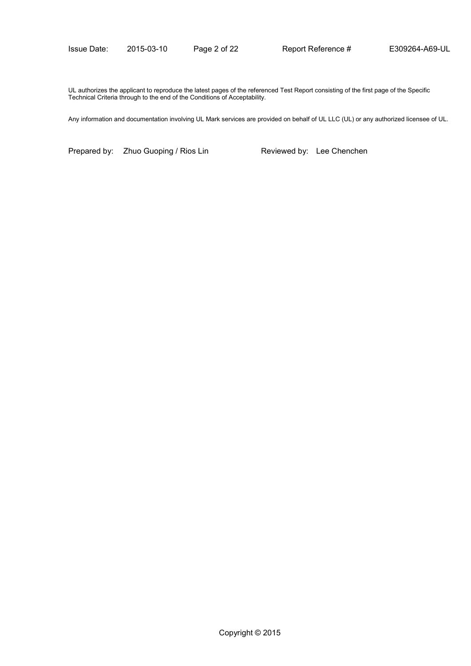UL authorizes the applicant to reproduce the latest pages of the referenced Test Report consisting of the first page of the Specific Technical Criteria through to the end of the Conditions of Acceptability.

Any information and documentation involving UL Mark services are provided on behalf of UL LLC (UL) or any authorized licensee of UL.

Prepared by: Zhuo Guoping / Rios Lin Reviewed by: Lee Chenchen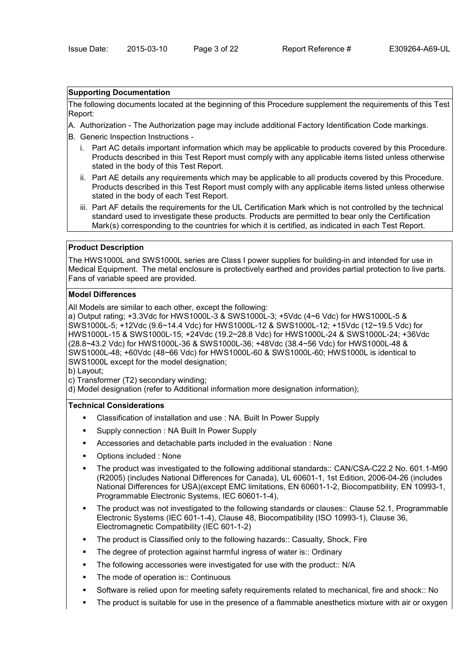### **Supporting Documentation**

The following documents located at the beginning of this Procedure supplement the requirements of this Test Report:

- A. Authorization The Authorization page may include additional Factory Identification Code markings.
- B. Generic Inspection Instructions
	- i. Part AC details important information which may be applicable to products covered by this Procedure. Products described in this Test Report must comply with any applicable items listed unless otherwise stated in the body of this Test Report.
	- ii. Part AE details any requirements which may be applicable to all products covered by this Procedure. Products described in this Test Report must comply with any applicable items listed unless otherwise stated in the body of each Test Report.
	- iii. Part AF details the requirements for the UL Certification Mark which is not controlled by the technical standard used to investigate these products. Products are permitted to bear only the Certification Mark(s) corresponding to the countries for which it is certified, as indicated in each Test Report.

#### **Product Description**

The HWS1000L and SWS1000L series are Class I power supplies for building-in and intended for use in Medical Equipment. The metal enclosure is protectively earthed and provides partial protection to live parts. Fans of variable speed are provided.

# **Model Differences**

All Models are similar to each other, except the following:

a) Output rating; +3.3Vdc for HWS1000L-3 & SWS1000L-3; +5Vdc (4~6 Vdc) for HWS1000L-5 & SWS1000L-5; +12Vdc (9.6~14.4 Vdc) for HWS1000L-12 & SWS1000L-12; +15Vdc (12~19.5 Vdc) for HWS1000L-15 & SWS1000L-15; +24Vdc (19.2~28.8 Vdc) for HWS1000L-24 & SWS1000L-24; +36Vdc (28.8~43.2 Vdc) for HWS1000L-36 & SWS1000L-36; +48Vdc (38.4~56 Vdc) for HWS1000L-48 & SWS1000L-48; +60Vdc (48~66 Vdc) for HWS1000L-60 & SWS1000L-60; HWS1000L is identical to SWS1000L except for the model designation;

b) Layout;

c) Transformer (T2) secondary winding;

d) Model designation (refer to Additional information more designation information);

# **Technical Considerations**

- Classification of installation and use : NA. Built In Power Supply
- **Supply connection : NA Built In Power Supply**
- Accessories and detachable parts included in the evaluation : None
- Options included : None
- The product was investigated to the following additional standards:: CAN/CSA-C22.2 No. 601.1-M90 (R2005) (includes National Differences for Canada), UL 60601-1, 1st Edition, 2006-04-26 (includes National Differences for USA)(except EMC limitations, EN 60601-1-2, Biocompatibility, EN 10993-1, Programmable Electronic Systems, IEC 60601-1-4),
- The product was not investigated to the following standards or clauses:: Clause 52.1, Programmable Electronic Systems (IEC 601-1-4), Clause 48, Biocompatibility (ISO 10993-1), Clause 36, Electromagnetic Compatibility (IEC 601-1-2)
- The product is Classified only to the following hazards:: Casualty, Shock, Fire
- The degree of protection against harmful ingress of water is:: Ordinary
- The following accessories were investigated for use with the product:: N/A
- The mode of operation is:: Continuous
- Software is relied upon for meeting safety requirements related to mechanical, fire and shock:: No
- The product is suitable for use in the presence of a flammable anesthetics mixture with air or oxygen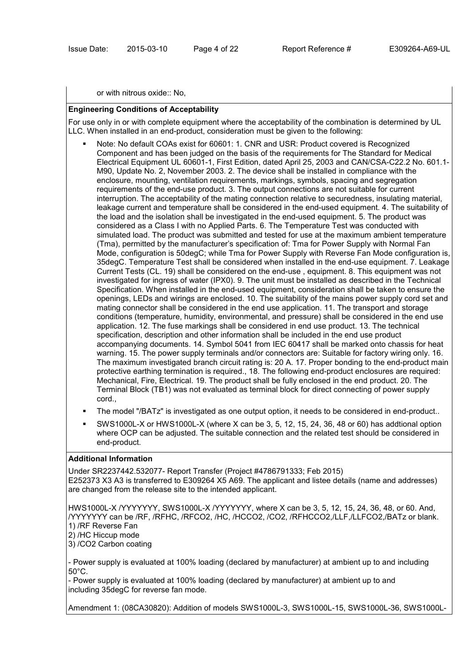or with nitrous oxide:: No,

# **Engineering Conditions of Acceptability**

For use only in or with complete equipment where the acceptability of the combination is determined by UL LLC. When installed in an end-product, consideration must be given to the following:

- Note: No default COAs exist for 60601: 1. CNR and USR: Product covered is Recognized Component and has been judged on the basis of the requirements for The Standard for Medical Electrical Equipment UL 60601-1, First Edition, dated April 25, 2003 and CAN/CSA-C22.2 No. 601.1- M90, Update No. 2, November 2003. 2. The device shall be installed in compliance with the enclosure, mounting, ventilation requirements, markings, symbols, spacing and segregation requirements of the end-use product. 3. The output connections are not suitable for current interruption. The acceptability of the mating connection relative to securedness, insulating material, leakage current and temperature shall be considered in the end-used equipment. 4. The suitability of the load and the isolation shall be investigated in the end-used equipment. 5. The product was considered as a Class I with no Applied Parts. 6. The Temperature Test was conducted with simulated load. The product was submitted and tested for use at the maximum ambient temperature (Tma), permitted by the manufacturer's specification of: Tma for Power Supply with Normal Fan Mode, configuration is 50degC; while Tma for Power Supply with Reverse Fan Mode configuration is, 35degC. Temperature Test shall be considered when installed in the end-use equipment. 7. Leakage Current Tests (CL. 19) shall be considered on the end-use , equipment. 8. This equipment was not investigated for ingress of water (IPX0). 9. The unit must be installed as described in the Technical Specification. When installed in the end-used equipment, consideration shall be taken to ensure the openings, LEDs and wirings are enclosed. 10. The suitability of the mains power supply cord set and mating connector shall be considered in the end use application. 11. The transport and storage conditions (temperature, humidity, environmental, and pressure) shall be considered in the end use application. 12. The fuse markings shall be considered in end use product. 13. The technical specification, description and other information shall be included in the end use product accompanying documents. 14. Symbol 5041 from IEC 60417 shall be marked onto chassis for heat warning. 15. The power supply terminals and/or connectors are: Suitable for factory wiring only. 16. The maximum investigated branch circuit rating is: 20 A. 17. Proper bonding to the end-product main protective earthing termination is required., 18. The following end-product enclosures are required: Mechanical, Fire, Electrical. 19. The product shall be fully enclosed in the end product. 20. The Terminal Block (TB1) was not evaluated as terminal block for direct connecting of power supply cord.,
- The model "/BATz" is investigated as one output option, it needs to be considered in end-product..
- SWS1000L-X or HWS1000L-X (where X can be 3, 5, 12, 15, 24, 36, 48 or 60) has addtional option where OCP can be adjusted. The suitable connection and the related test should be considered in end-product.

#### **Additional Information**

Under SR2237442.532077- Report Transfer (Project #4786791333; Feb 2015) E252373 X3 A3 is transferred to E309264 X5 A69. The applicant and listee details (name and addresses) are changed from the release site to the intended applicant.

HWS1000L-X /YYYYYYY, SWS1000L-X /YYYYYYY, where X can be 3, 5, 12, 15, 24, 36, 48, or 60. And, /YYYYYYY can be /RF, /RFHC, /RFCO2, /HC, /HCCO2, /CO2, /RFHCCO2,/LLF,/LLFCO2,/BATz or blank. 1) /RF Reverse Fan

3) /CO2 Carbon coating

- Power supply is evaluated at 100% loading (declared by manufacturer) at ambient up to and including 50°C.

- Power supply is evaluated at 100% loading (declared by manufacturer) at ambient up to and including 35degC for reverse fan mode.

Amendment 1: (08CA30820): Addition of models SWS1000L-3, SWS1000L-15, SWS1000L-36, SWS1000L-

<sup>2) /</sup>HC Hiccup mode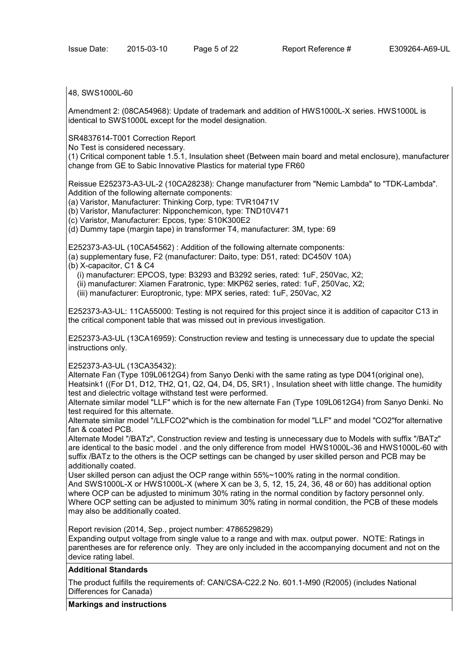# 48, SWS1000L-60

Amendment 2: (08CA54968): Update of trademark and addition of HWS1000L-X series. HWS1000L is identical to SWS1000L except for the model designation.

SR4837614-T001 Correction Report

No Test is considered necessary.

(1) Critical component table 1.5.1, Insulation sheet (Between main board and metal enclosure), manufacturer change from GE to Sabic Innovative Plastics for material type FR60

Reissue E252373-A3-UL-2 (10CA28238): Change manufacturer from "Nemic Lambda" to "TDK-Lambda". Addition of the following alternate components:

(a) Varistor, Manufacturer: Thinking Corp, type: TVR10471V

(b) Varistor, Manufacturer: Nipponchemicon, type: TND10V471

(c) Varistor, Manufacturer: Epcos, type: S10K300E2

(d) Dummy tape (margin tape) in transformer T4, manufacturer: 3M, type: 69

E252373-A3-UL (10CA54562) : Addition of the following alternate components:

(a) supplementary fuse, F2 (manufacturer: Daito, type: D51, rated: DC450V 10A)

(b) X-capacitor, C1 & C4

(i) manufacturer: EPCOS, type: B3293 and B3292 series, rated: 1uF, 250Vac, X2;

(ii) manufacturer: Xiamen Faratronic, type: MKP62 series, rated: 1uF, 250Vac, X2;

(iii) manufacturer: Europtronic, type: MPX series, rated: 1uF, 250Vac, X2

E252373-A3-UL: 11CA55000: Testing is not required for this project since it is addition of capacitor C13 in the critical component table that was missed out in previous investigation.

E252373-A3-UL (13CA16959): Construction review and testing is unnecessary due to update the special instructions only.

# E252373-A3-UL (13CA35432):

Alternate Fan (Type 109L0612G4) from Sanyo Denki with the same rating as type D041(original one), Heatsink1 ((For D1, D12, TH2, Q1, Q2, Q4, D4, D5, SR1) , Insulation sheet with little change. The humidity test and dielectric voltage withstand test were performed.

Alternate similar model "LLF" which is for the new alternate Fan (Type 109L0612G4) from Sanyo Denki. No test required for this alternate.

Alternate similar model "/LLFCO2"which is the combination for model "LLF" and model "CO2"for alternative fan & coated PCB.

Alternate Model "/BATz", Construction review and testing is unnecessary due to Models with suffix "/BATz" are identical to the basic model . and the only difference from model HWS1000L-36 and HWS1000L-60 with suffix /BATz to the others is the OCP settings can be changed by user skilled person and PCB may be additionally coated.

User skilled person can adjust the OCP range within 55%~100% rating in the normal condition. And SWS1000L-X or HWS1000L-X (where X can be 3, 5, 12, 15, 24, 36, 48 or 60) has additional option where OCP can be adjusted to minimum 30% rating in the normal condition by factory personnel only. Where OCP setting can be adjusted to minimum 30% rating in normal condition, the PCB of these models may also be additionally coated.

Report revision (2014, Sep., project number: 4786529829)

Expanding output voltage from single value to a range and with max. output power. NOTE: Ratings in parentheses are for reference only. They are only included in the accompanying document and not on the device rating label.

# **Additional Standards**

The product fulfills the requirements of: CAN/CSA-C22.2 No. 601.1-M90 (R2005) (includes National Differences for Canada)

# **Markings and instructions**